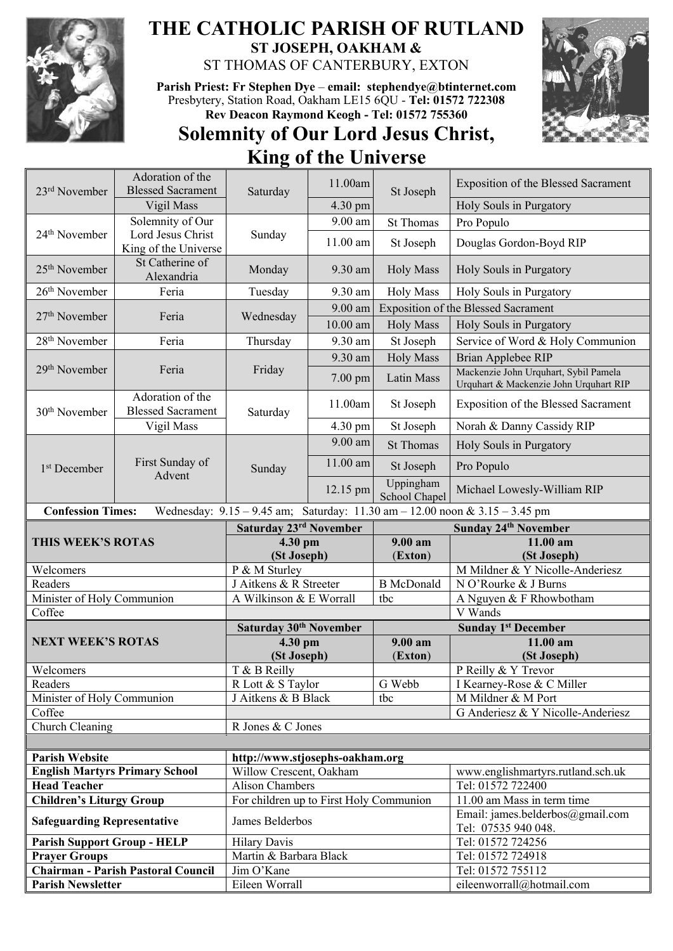

## **THE CATHOLIC PARISH OF RUTLAND ST JOSEPH, OAKHAM &**  ST THOMAS OF CANTERBURY, EXTON

**Parish Priest: Fr Stephen Dye** – **[email: stephendye@btinternet.com](mailto:email:%20%20stephendye@btinternet.com)** Presbytery, Station Road, Oakham LE15 6QU - **Tel: 01572 722308 Rev Deacon Raymond Keogh - Tel: 01572 755360**



## **Solemnity of Our Lord Jesus Christ, King of the Universe**  $\Lambda$  denotion of the

| 23 <sup>rd</sup> November                                                                                       | Adolation of the<br><b>Blessed Sacrament</b> | Saturday                                                   | 11.00am    | St Joseph                  | <b>Exposition of the Blessed Sacrament</b>                                      |  |  |
|-----------------------------------------------------------------------------------------------------------------|----------------------------------------------|------------------------------------------------------------|------------|----------------------------|---------------------------------------------------------------------------------|--|--|
|                                                                                                                 | Vigil Mass                                   |                                                            | 4.30 pm    |                            | Holy Souls in Purgatory                                                         |  |  |
|                                                                                                                 | Solemnity of Our                             |                                                            | 9.00 am    | <b>St Thomas</b>           | Pro Populo                                                                      |  |  |
| 24 <sup>th</sup> November                                                                                       | Lord Jesus Christ                            | Sunday                                                     |            |                            |                                                                                 |  |  |
|                                                                                                                 | King of the Universe                         |                                                            | $11.00$ am | St Joseph                  | Douglas Gordon-Boyd RIP                                                         |  |  |
| 25 <sup>th</sup> November                                                                                       | St Catherine of<br>Alexandria                | Monday                                                     | 9.30 am    | <b>Holy Mass</b>           | Holy Souls in Purgatory                                                         |  |  |
| 26 <sup>th</sup> November                                                                                       | Feria                                        | Tuesday                                                    | 9.30 am    | <b>Holy Mass</b>           | Holy Souls in Purgatory                                                         |  |  |
| 27 <sup>th</sup> November                                                                                       | Feria                                        | Wednesday                                                  | 9.00 am    |                            | <b>Exposition of the Blessed Sacrament</b>                                      |  |  |
|                                                                                                                 |                                              |                                                            | $10.00$ am | <b>Holy Mass</b>           | Holy Souls in Purgatory                                                         |  |  |
| 28 <sup>th</sup> November                                                                                       | Feria                                        | Thursday                                                   | 9.30 am    | St Joseph                  | Service of Word & Holy Communion                                                |  |  |
|                                                                                                                 |                                              |                                                            | 9.30 am    | <b>Holy Mass</b>           | Brian Applebee RIP                                                              |  |  |
| 29 <sup>th</sup> November                                                                                       | Feria                                        | Friday                                                     | 7.00 pm    | Latin Mass                 | Mackenzie John Urquhart, Sybil Pamela<br>Urquhart & Mackenzie John Urquhart RIP |  |  |
| 30 <sup>th</sup> November                                                                                       | Adoration of the<br><b>Blessed Sacrament</b> | Saturday                                                   | 11.00am    | St Joseph                  | Exposition of the Blessed Sacrament                                             |  |  |
|                                                                                                                 | Vigil Mass                                   |                                                            | 4.30 pm    | St Joseph                  | Norah & Danny Cassidy RIP                                                       |  |  |
| 1 <sup>st</sup> December                                                                                        | First Sunday of<br>Advent                    | Sunday                                                     | 9.00 am    | <b>St Thomas</b>           | Holy Souls in Purgatory                                                         |  |  |
|                                                                                                                 |                                              |                                                            | 11.00 am   | St Joseph                  | Pro Populo                                                                      |  |  |
|                                                                                                                 |                                              |                                                            | 12.15 pm   | Uppingham<br>School Chapel | Michael Lowesly-William RIP                                                     |  |  |
| <b>Confession Times:</b><br>Wednesday: $9.15 - 9.45$ am; Saturday: $11.30$ am $- 12.00$ noon & $3.15 - 3.45$ pm |                                              |                                                            |            |                            |                                                                                 |  |  |
|                                                                                                                 |                                              | Saturday 23rd November                                     |            |                            | <b>Sunday 24th November</b>                                                     |  |  |
|                                                                                                                 |                                              |                                                            |            |                            |                                                                                 |  |  |
| THIS WEEK'S ROTAS                                                                                               |                                              | 4.30 pm                                                    |            | 9.00 am                    | 11.00 am                                                                        |  |  |
|                                                                                                                 |                                              | (St Joseph)                                                |            | (Exton)                    | (St Joseph)                                                                     |  |  |
| Welcomers                                                                                                       |                                              | P & M Sturley                                              |            |                            | M Mildner & Y Nicolle-Anderiesz                                                 |  |  |
| Readers                                                                                                         |                                              | J Aitkens & R Streeter                                     |            | <b>B</b> McDonald          | N O'Rourke & J Burns                                                            |  |  |
| Minister of Holy Communion<br>Coffee                                                                            |                                              | A Wilkinson & E Worrall                                    |            | tbc                        | A Nguyen & F Rhowbotham<br>V Wands                                              |  |  |
|                                                                                                                 |                                              | Saturday 30 <sup>th</sup> November                         |            |                            | <b>Sunday 1st December</b>                                                      |  |  |
| <b>NEXT WEEK'S ROTAS</b>                                                                                        |                                              | 4.30 pm                                                    |            | 9.00 am                    | 11.00 am                                                                        |  |  |
|                                                                                                                 |                                              | (St Joseph)                                                |            | (Exton)                    | (St Joseph)                                                                     |  |  |
| Welcomers                                                                                                       |                                              | T & B Reilly                                               |            |                            | P Reilly & Y Trevor                                                             |  |  |
| Readers                                                                                                         |                                              | R Lott & S Taylor                                          |            | G Webb                     | I Kearney-Rose & C Miller                                                       |  |  |
| Minister of Holy Communion                                                                                      |                                              | J Aitkens & B Black                                        |            | tbc                        | M Mildner & M Port                                                              |  |  |
| Coffee                                                                                                          |                                              |                                                            |            |                            | G Anderiesz & Y Nicolle-Anderiesz                                               |  |  |
| Church Cleaning                                                                                                 |                                              | R Jones & C Jones                                          |            |                            |                                                                                 |  |  |
|                                                                                                                 |                                              |                                                            |            |                            |                                                                                 |  |  |
| <b>Parish Website</b>                                                                                           | <b>English Martyrs Primary School</b>        | http://www.stjosephs-oakham.org<br>Willow Crescent, Oakham |            |                            | www.englishmartyrs.rutland.sch.uk                                               |  |  |
| <b>Head Teacher</b>                                                                                             |                                              | <b>Alison Chambers</b>                                     |            |                            | Tel: 01572 722400                                                               |  |  |
| <b>Children's Liturgy Group</b>                                                                                 |                                              | For children up to First Holy Communion                    |            |                            | 11.00 am Mass in term time                                                      |  |  |
| <b>Safeguarding Representative</b>                                                                              |                                              | James Belderbos                                            |            |                            | Email: james.belderbos@gmail.com<br>Tel: 07535 940 048.                         |  |  |
| <b>Parish Support Group - HELP</b>                                                                              |                                              | <b>Hilary Davis</b>                                        |            |                            | Tel: 01572 724256                                                               |  |  |
| <b>Prayer Groups</b>                                                                                            |                                              | Martin & Barbara Black                                     |            |                            | Tel: 01572 724918                                                               |  |  |
| <b>Parish Newsletter</b>                                                                                        | Chairman - Parish Pastoral Council           | Jim O'Kane<br>Eileen Worrall                               |            |                            | Tel: 01572 755112<br>eileenworrall@hotmail.com                                  |  |  |